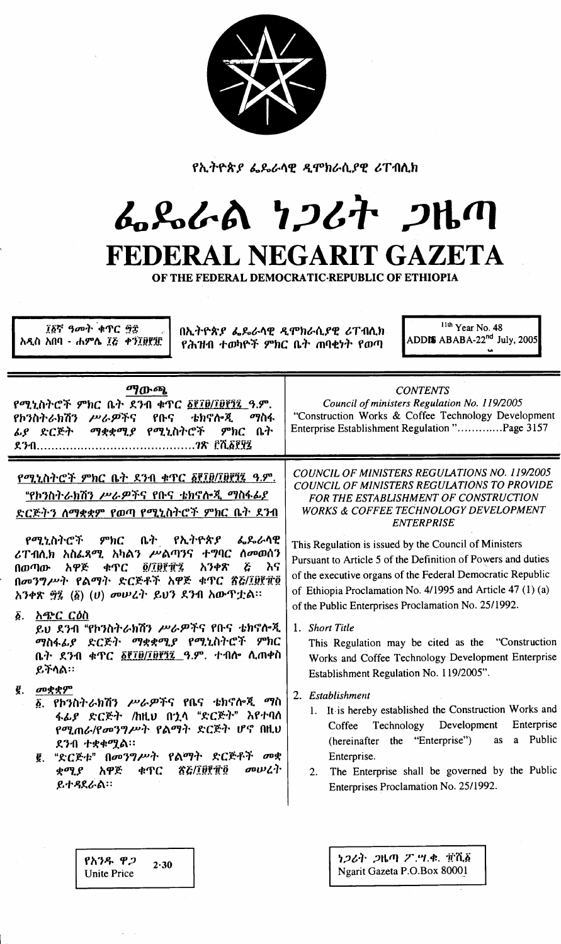

የኢትዮጵያ ፌዴራሳዊ ዲሞክራሲያዊ ሪፐብሲክ

## んぺんの クンムヤ フルク FEDERAL NEGARIT GAZETA

OF THE FEDERAL DEMOCRATIC REPUBLIC OF ETHIOPIA

፲፩ኛ ዓመት ቁጥር ፵፰ አዲስ አበባ - ሐምሴ ፲ሯ ቀን፲፱፻፶፫

በኢትዮጵያ ፌጼራሳዊ ዲሞክራሲያዊ ሪፐብሲክ የሕዝብ ተወካዮች ምክር ቤት ጠባቂነት የወጣ

 $11th$  Year No. 48 ADDIS ABABA-22<sup>nd</sup> July, 2005

| ማውጫ<br>የሚኒስትሮች ምክር ቤት ደንብ ቁጥር ፩፻፲፱/፲፱፻፺፯ ዓ.ም.<br>ቴክኖሎጂ<br>ሥራዎችና<br>የቡና<br>ማስፋ<br>የኮንስትራክሽን<br>ማቋቋሚያ የሚኒስትሮች<br>ምክር ቤት<br>ፊያ ድርጅት                                                                                                                                                                                                                                                                                                                                                                                                                                                                                                                                                                                                                 | <b>CONTENTS</b><br>Council of ministers Regulation No. 119/2005<br>"Construction Works & Coffee Technology Development<br>Enterprise Establishment Regulation "Page 3157                                                                                                                                                                                                                                                                                                                                                                                                                                                                                                                                                                                                                                                                                                                                                                                                                               |
|--------------------------------------------------------------------------------------------------------------------------------------------------------------------------------------------------------------------------------------------------------------------------------------------------------------------------------------------------------------------------------------------------------------------------------------------------------------------------------------------------------------------------------------------------------------------------------------------------------------------------------------------------------------------------------------------------------------------------------------------------|--------------------------------------------------------------------------------------------------------------------------------------------------------------------------------------------------------------------------------------------------------------------------------------------------------------------------------------------------------------------------------------------------------------------------------------------------------------------------------------------------------------------------------------------------------------------------------------------------------------------------------------------------------------------------------------------------------------------------------------------------------------------------------------------------------------------------------------------------------------------------------------------------------------------------------------------------------------------------------------------------------|
| የሚኒስትሮች ምክር ቤት ደንብ ቁጥር ፩፻፲፱/፲፱፻፺፯ ዓ.ም.<br>"የኮንስትራክሽን ሥራዎችና የቡና <u>ቴክኖሎጂ ማስፋፊያ</u><br>ድርጅትን ለማቋቋም የወጣ <u>የሚኒስትሮች ምክር ቤት ደንብ</u><br>የሚኒስትሮች ምክር<br>ቤት የኢትዮጵያ ፌጼራሳዊ<br>ሪፐብሲክ አስፌጻሚ አካልን ሥልጣንና ተግባር ስመወሰን<br><b><i><u>O/IBPTZ</u></i></b><br>$\tilde{c}$<br>አዋጅ<br>አንቀጽ<br>ሕና<br>ቀጥር<br>በወጣው<br>በመንግሥት የልማት ድርጅቶች አዋጅ ቁጥር ፳፭/፲፱፻፹፬<br>አንቀጽ ፵፯ (፩) (ሀ) መሠረት ይህን ደንብ አውጥቷል።<br>አጭር ርዕስ<br>δ.<br>ይህ ደንብ "የኮንስትራክሽን ሥራዎችና የቡና ቴክኖሎጂ<br>ማስፋፊያ ድርጅት ማቋቋሚያ የሚኒስትሮች ምክር<br>ቤት ደንብ ቀጥር <u>δየ፲፱/፲፱፻፺፯ ዓ</u> .ም. ተብሎ ሲጠቀስ<br>ይችላል።<br>መቋቋም<br>g.<br>፩ የኮንስትራክሽን ሥራዎችና የቤና ቴክኖሎጂ<br>ማስ<br>ፋፊያ ድርጅት /ከዚህ በኋላ "ድርጅት" እየተባለ<br>የሚጠራ/የመንግሥት የልማት ድርጅት ሆኖ በዚህ<br>ደንብ ተቋቀሟል።<br>፪. "ድርጅቱ" በመንግሥት የልማት ድርጅቶች መቋ<br>መሠረት<br><b>TE/IBPTO</b><br>ቋሚያ አዋጅ<br>ቀጥር<br>ይተዳደራል። | COUNCIL OF MINISTERS REGULATIONS NO. 119/2005<br>COUNCIL OF MINISTERS REGULATIONS TO PROVIDE<br>FOR THE ESTABLISHMENT OF CONSTRUCTION<br><b>WORKS &amp; COFFEE TECHNOLOGY DEVELOPMENT</b><br><b>ENTERPRISE</b><br>This Regulation is issued by the Council of Ministers<br>Pursuant to Article 5 of the Definition of Powers and duties<br>of the executive organs of the Federal Democratic Republic<br>of Ethiopia Proclamation No. 4/1995 and Article 47 (1) (a)<br>of the Public Enterprises Proclamation No. 25/1992.<br>1. Short Title<br>This Regulation may be cited as the "Construction<br>Works and Coffee Technology Development Enterprise<br>Establishment Regulation No. 119/2005".<br>2. Establishment<br>1. It is hereby established the Construction Works and<br>Enterprise<br>Technology Development<br>Coffee<br>a Public<br>(hereinafter the "Enterprise")<br>as<br>Enterprise.<br>The Enterprise shall be governed by the Public<br>2.<br>Enterprises Proclamation No. 25/1992. |
|                                                                                                                                                                                                                                                                                                                                                                                                                                                                                                                                                                                                                                                                                                                                                  |                                                                                                                                                                                                                                                                                                                                                                                                                                                                                                                                                                                                                                                                                                                                                                                                                                                                                                                                                                                                        |

የአንዱ ዋጋ  $2.30$ **Unite Price** 

ነጋሪት ጋዜጣ ፖ.ሣ.ቀ. ፹ሺ፩ Ngarit Gazeta P.O.Box 80001